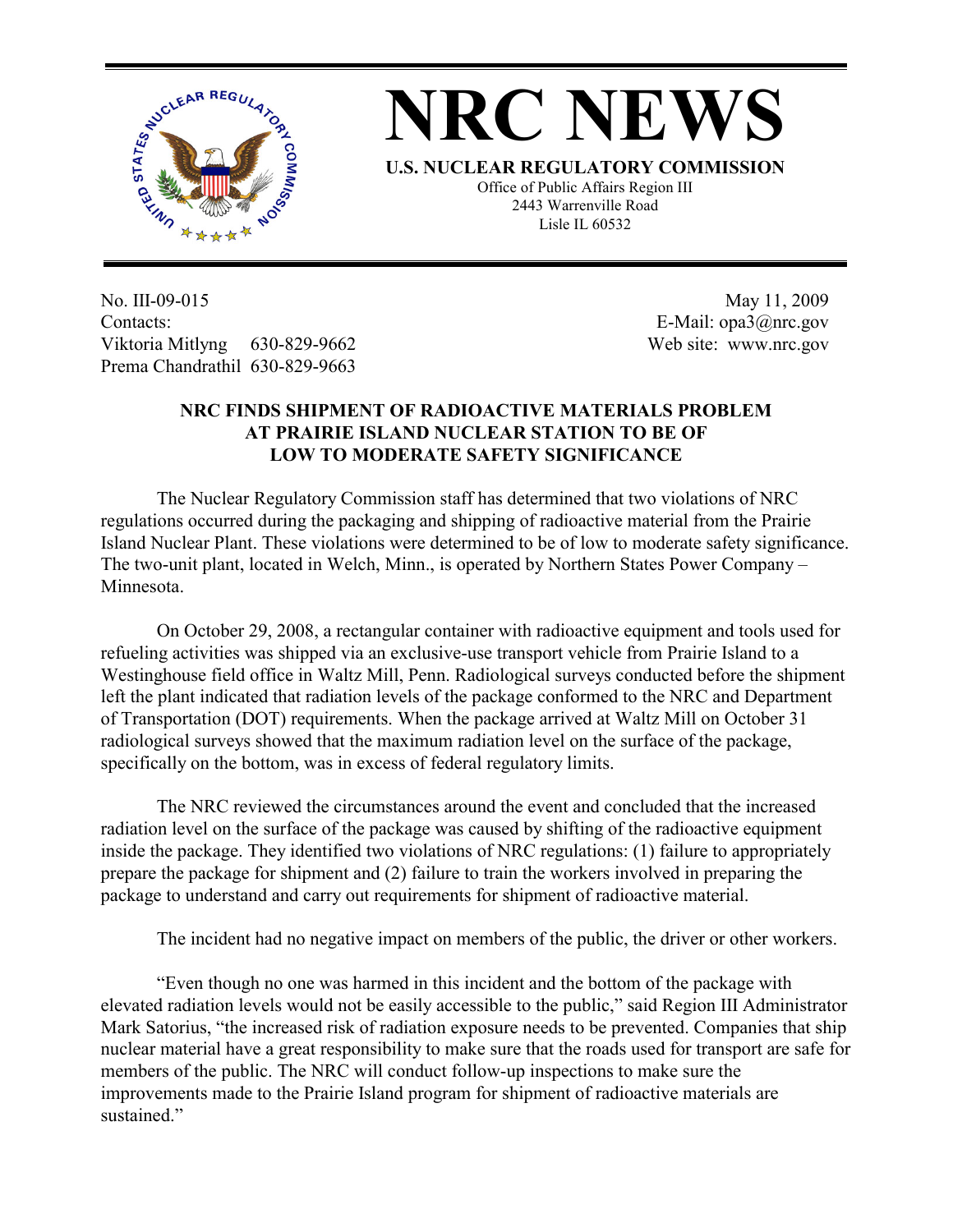

## **NRC NEWS**

**U.S. NUCLEAR REGULATORY COMMISSION**

Office of Public Affairs Region III 2443 Warrenville Road Lisle IL 60532

No. III-09-015 Contacts: Viktoria Mitlyng 630-829-9662 Prema Chandrathil 630-829-9663

 May 11, 2009 E-Mail: opa3@nrc.gov Web site: www.nrc.gov

## **NRC FINDS SHIPMENT OF RADIOACTIVE MATERIALS PROBLEM AT PRAIRIE ISLAND NUCLEAR STATION TO BE OF LOW TO MODERATE SAFETY SIGNIFICANCE**

The Nuclear Regulatory Commission staff has determined that two violations of NRC regulations occurred during the packaging and shipping of radioactive material from the Prairie Island Nuclear Plant. These violations were determined to be of low to moderate safety significance. The two-unit plant, located in Welch, Minn., is operated by Northern States Power Company – Minnesota.

On October 29, 2008, a rectangular container with radioactive equipment and tools used for refueling activities was shipped via an exclusive-use transport vehicle from Prairie Island to a Westinghouse field office in Waltz Mill, Penn. Radiological surveys conducted before the shipment left the plant indicated that radiation levels of the package conformed to the NRC and Department of Transportation (DOT) requirements. When the package arrived at Waltz Mill on October 31 radiological surveys showed that the maximum radiation level on the surface of the package, specifically on the bottom, was in excess of federal regulatory limits.

The NRC reviewed the circumstances around the event and concluded that the increased radiation level on the surface of the package was caused by shifting of the radioactive equipment inside the package. They identified two violations of NRC regulations: (1) failure to appropriately prepare the package for shipment and (2) failure to train the workers involved in preparing the package to understand and carry out requirements for shipment of radioactive material.

The incident had no negative impact on members of the public, the driver or other workers.

"Even though no one was harmed in this incident and the bottom of the package with elevated radiation levels would not be easily accessible to the public," said Region III Administrator Mark Satorius, "the increased risk of radiation exposure needs to be prevented. Companies that ship nuclear material have a great responsibility to make sure that the roads used for transport are safe for members of the public. The NRC will conduct follow-up inspections to make sure the improvements made to the Prairie Island program for shipment of radioactive materials are sustained."